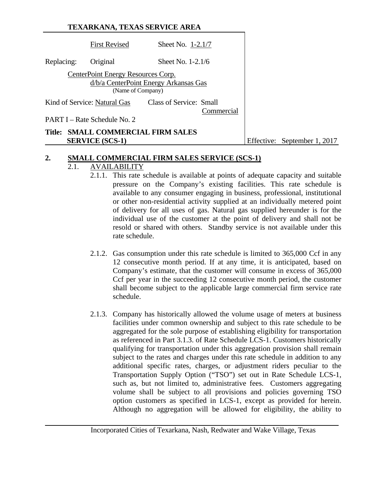## **TEXARKANA, TEXAS SERVICE AREA**

| <b>First Revised</b>         |                                                 |                                                                                                      |                                                                                                            |
|------------------------------|-------------------------------------------------|------------------------------------------------------------------------------------------------------|------------------------------------------------------------------------------------------------------------|
| Original                     |                                                 |                                                                                                      |                                                                                                            |
|                              |                                                 |                                                                                                      |                                                                                                            |
|                              |                                                 |                                                                                                      |                                                                                                            |
|                              |                                                 |                                                                                                      |                                                                                                            |
|                              |                                                 |                                                                                                      |                                                                                                            |
|                              |                                                 | Commercial                                                                                           |                                                                                                            |
| PART I – Rate Schedule No. 2 |                                                 |                                                                                                      |                                                                                                            |
|                              |                                                 |                                                                                                      |                                                                                                            |
|                              | Kind of Service: Natural Gas<br>SERVICE (SCS-1) | CenterPoint Energy Resources Corp.<br>(Name of Company)<br><b>Title: SMALL COMMERCIAL FIRM SALES</b> | Sheet No. 1-2.1/7<br>Sheet No. 1-2.1/6<br>d/b/a CenterPoint Energy Arkansas Gas<br>Class of Service: Small |

ffective: September 1, 2017

#### **2. SMALL COMMERCIAL FIRM SALES SERVICE (SCS-1)**

## 2.1. AVAILABILITY

- 2.1.1. This rate schedule is available at points of adequate capacity and suitable pressure on the Company's existing facilities. This rate schedule is available to any consumer engaging in business, professional, institutional or other non-residential activity supplied at an individually metered point of delivery for all uses of gas. Natural gas supplied hereunder is for the individual use of the customer at the point of delivery and shall not be resold or shared with others. Standby service is not available under this rate schedule.
- 2.1.2. Gas consumption under this rate schedule is limited to 365,000 Ccf in any 12 consecutive month period. If at any time, it is anticipated, based on Company's estimate, that the customer will consume in excess of 365,000 Ccf per year in the succeeding 12 consecutive month period, the customer shall become subject to the applicable large commercial firm service rate schedule.
- 2.1.3. Company has historically allowed the volume usage of meters at business facilities under common ownership and subject to this rate schedule to be aggregated for the sole purpose of establishing eligibility for transportation as referenced in Part 3.1.3. of Rate Schedule LCS-1. Customers historically qualifying for transportation under this aggregation provision shall remain subject to the rates and charges under this rate schedule in addition to any additional specific rates, charges, or adjustment riders peculiar to the Transportation Supply Option ("TSO") set out in Rate Schedule LCS-1, such as, but not limited to, administrative fees. Customers aggregating volume shall be subject to all provisions and policies governing TSO option customers as specified in LCS-1, except as provided for herein. Although no aggregation will be allowed for eligibility, the ability to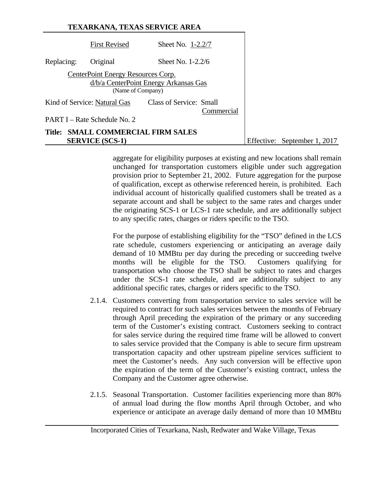|            |                                                         | TEXARKANA, TEXAS SERVICE AREA         |                              |
|------------|---------------------------------------------------------|---------------------------------------|------------------------------|
|            | <b>First Revised</b>                                    | Sheet No. $1-2.2/7$                   |                              |
| Replacing: | Original                                                | Sheet No. $1-2.2/6$                   |                              |
|            | CenterPoint Energy Resources Corp.<br>(Name of Company) | d/b/a CenterPoint Energy Arkansas Gas |                              |
|            | Kind of Service: Natural Gas                            | Class of Service: Small<br>Commercial |                              |
|            | PART I – Rate Schedule No. 2                            |                                       |                              |
| Title:     | <b>SERVICE (SCS-1)</b>                                  | <b>SMALL COMMERCIAL FIRM SALES</b>    | Effective: September 1, 2017 |

aggregate for eligibility purposes at existing and new locations shall remain unchanged for transportation customers eligible under such aggregation provision prior to September 21, 2002. Future aggregation for the purpose of qualification, except as otherwise referenced herein, is prohibited. Each individual account of historically qualified customers shall be treated as a separate account and shall be subject to the same rates and charges under the originating SCS-1 or LCS-1 rate schedule, and are additionally subject to any specific rates, charges or riders specific to the TSO.

For the purpose of establishing eligibility for the "TSO" defined in the LCS rate schedule, customers experiencing or anticipating an average daily demand of 10 MMBtu per day during the preceding or succeeding twelve months will be eligible for the TSO. Customers qualifying for transportation who choose the TSO shall be subject to rates and charges under the SCS-1 rate schedule, and are additionally subject to any additional specific rates, charges or riders specific to the TSO.

- 2.1.4. Customers converting from transportation service to sales service will be required to contract for such sales services between the months of February through April preceding the expiration of the primary or any succeeding term of the Customer's existing contract. Customers seeking to contract for sales service during the required time frame will be allowed to convert to sales service provided that the Company is able to secure firm upstream transportation capacity and other upstream pipeline services sufficient to meet the Customer's needs. Any such conversion will be effective upon the expiration of the term of the Customer's existing contract, unless the Company and the Customer agree otherwise.
- 2.1.5. Seasonal Transportation. Customer facilities experiencing more than 80% of annual load during the flow months April through October, and who experience or anticipate an average daily demand of more than 10 MMBtu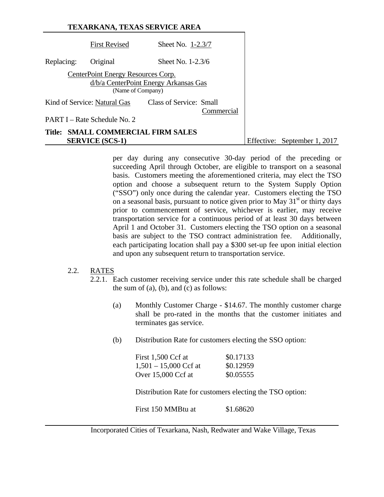|            |                                                         | TEXARKANA, TEXAS SERVICE AREA         |  |                              |
|------------|---------------------------------------------------------|---------------------------------------|--|------------------------------|
|            | <b>First Revised</b>                                    | Sheet No. 1-2.3/7                     |  |                              |
| Replacing: | Original                                                | Sheet No. $1-2.3/6$                   |  |                              |
|            | CenterPoint Energy Resources Corp.<br>(Name of Company) | d/b/a CenterPoint Energy Arkansas Gas |  |                              |
|            | Kind of Service: Natural Gas                            | Class of Service: Small<br>Commercial |  |                              |
|            | PART I – Rate Schedule No. 2                            |                                       |  |                              |
| Title:     | <b>SERVICE (SCS-1)</b>                                  | <b>SMALL COMMERCIAL FIRM SALES</b>    |  | Effective: September 1, 2017 |

per day during any consecutive 30-day period of the preceding or succeeding April through October, are eligible to transport on a seasonal basis. Customers meeting the aforementioned criteria, may elect the TSO option and choose a subsequent return to the System Supply Option ("SSO") only once during the calendar year. Customers electing the TSO on a seasonal basis, pursuant to notice given prior to May  $31<sup>st</sup>$  or thirty days prior to commencement of service, whichever is earlier, may receive transportation service for a continuous period of at least 30 days between April 1 and October 31. Customers electing the TSO option on a seasonal basis are subject to the TSO contract administration fee. Additionally, each participating location shall pay a \$300 set-up fee upon initial election and upon any subsequent return to transportation service.

#### 2.2. RATES

- 2.2.1. Each customer receiving service under this rate schedule shall be charged the sum of  $(a)$ ,  $(b)$ , and  $(c)$  as follows:
	- (a) Monthly Customer Charge \$14.67. The monthly customer charge shall be pro-rated in the months that the customer initiates and terminates gas service.
	- (b) Distribution Rate for customers electing the SSO option:

| First 1,500 Ccf at      | \$0.17133 |
|-------------------------|-----------|
| $1,501 - 15,000$ Ccf at | \$0.12959 |
| Over $15,000$ Ccf at    | \$0.05555 |

Distribution Rate for customers electing the TSO option:

First 150 MMBtu at \$1.68620

Incorporated Cities of Texarkana, Nash, Redwater and Wake Village, Texas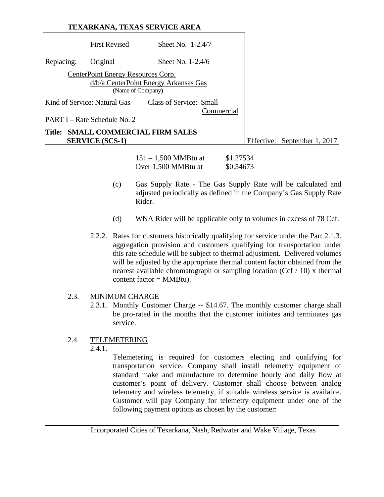# **TEXARKANA, TEXAS SERVICE AREA** First Revised Sheet No. 1-2.4/7 Replacing: Original Sheet No. 1-2.4/6 CenterPoint Energy Resources Corp. d/b/a CenterPoint Energy Arkansas Gas (Name of Company) Kind of Service: Natural Gas Class of Service: Small Commercial PART I – Rate Schedule No. 2 **Title: SMALL COMMERCIAL FIRM SALES SERVICE (SCS-1)** Effective: September 1, 2017

151 – 1,500 MMBtu at \$1.27534 Over 1,500 MMBtu at \$0.54673

- (c) Gas Supply Rate The Gas Supply Rate will be calculated and adjusted periodically as defined in the Company's Gas Supply Rate Rider.
- (d) WNA Rider will be applicable only to volumes in excess of 78 Ccf.
- 2.2.2. Rates for customers historically qualifying for service under the Part 2.1.3. aggregation provision and customers qualifying for transportation under this rate schedule will be subject to thermal adjustment. Delivered volumes will be adjusted by the appropriate thermal content factor obtained from the nearest available chromatograph or sampling location (Ccf / 10) x thermal content factor = MMBtu).

## 2.3. MINIMUM CHARGE

2.3.1. Monthly Customer Charge -- \$14.67. The monthly customer charge shall be pro-rated in the months that the customer initiates and terminates gas service.

## 2.4. TELEMETERING

2.4.1.

 Telemetering is required for customers electing and qualifying for transportation service. Company shall install telemetry equipment of standard make and manufacture to determine hourly and daily flow at customer's point of delivery. Customer shall choose between analog telemetry and wireless telemetry, if suitable wireless service is available. Customer will pay Company for telemetry equipment under one of the following payment options as chosen by the customer: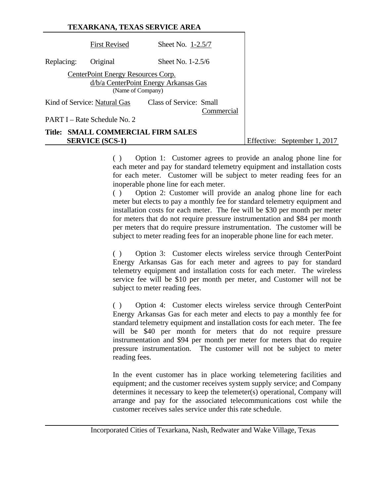|            |                                                         | <b>TEXARKANA, TEXAS SERVICE AREA</b>  |                              |
|------------|---------------------------------------------------------|---------------------------------------|------------------------------|
|            | <b>First Revised</b>                                    | Sheet No. 1-2.5/7                     |                              |
| Replacing: | Original                                                | Sheet No. $1-2.5/6$                   |                              |
|            | CenterPoint Energy Resources Corp.<br>(Name of Company) | d/b/a CenterPoint Energy Arkansas Gas |                              |
|            | Kind of Service: Natural Gas                            | Class of Service: Small<br>Commercial |                              |
|            | PART I – Rate Schedule No. 2                            |                                       |                              |
|            | <b>SERVICE (SCS-1)</b>                                  | Title: SMALL COMMERCIAL FIRM SALES    | Effective: September 1, 2017 |

( ) Option 1: Customer agrees to provide an analog phone line for each meter and pay for standard telemetry equipment and installation costs for each meter. Customer will be subject to meter reading fees for an inoperable phone line for each meter.

( ) Option 2: Customer will provide an analog phone line for each meter but elects to pay a monthly fee for standard telemetry equipment and installation costs for each meter. The fee will be \$30 per month per meter for meters that do not require pressure instrumentation and \$84 per month per meters that do require pressure instrumentation. The customer will be subject to meter reading fees for an inoperable phone line for each meter.

( ) Option 3: Customer elects wireless service through CenterPoint Energy Arkansas Gas for each meter and agrees to pay for standard telemetry equipment and installation costs for each meter. The wireless service fee will be \$10 per month per meter, and Customer will not be subject to meter reading fees.

( ) Option 4: Customer elects wireless service through CenterPoint Energy Arkansas Gas for each meter and elects to pay a monthly fee for standard telemetry equipment and installation costs for each meter. The fee will be \$40 per month for meters that do not require pressure instrumentation and \$94 per month per meter for meters that do require pressure instrumentation. The customer will not be subject to meter reading fees.

 In the event customer has in place working telemetering facilities and equipment; and the customer receives system supply service; and Company determines it necessary to keep the telemeter(s) operational, Company will arrange and pay for the associated telecommunications cost while the customer receives sales service under this rate schedule.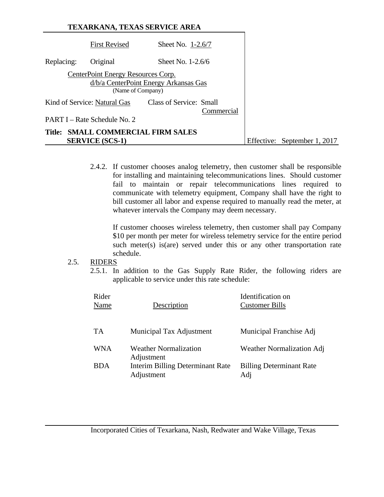|            |                                                         | <b>TEXARKANA, TEXAS SERVICE AREA</b>  |                              |
|------------|---------------------------------------------------------|---------------------------------------|------------------------------|
|            | <b>First Revised</b>                                    | Sheet No. $1-2.6/7$                   |                              |
| Replacing: | Original                                                | Sheet No. $1-2.6/6$                   |                              |
|            | CenterPoint Energy Resources Corp.<br>(Name of Company) | d/b/a CenterPoint Energy Arkansas Gas |                              |
|            | Kind of Service: Natural Gas                            | Class of Service: Small<br>Commercial |                              |
|            | PART I – Rate Schedule No. 2                            |                                       |                              |
| Title:     | <b>SERVICE (SCS-1)</b>                                  | <b>SMALL COMMERCIAL FIRM SALES</b>    | Effective: September 1, 2017 |

2.4.2. If customer chooses analog telemetry, then customer shall be responsible for installing and maintaining telecommunications lines. Should customer fail to maintain or repair telecommunications lines required to communicate with telemetry equipment, Company shall have the right to bill customer all labor and expense required to manually read the meter, at whatever intervals the Company may deem necessary.

If customer chooses wireless telemetry, then customer shall pay Company \$10 per month per meter for wireless telemetry service for the entire period such meter(s) is(are) served under this or any other transportation rate schedule.

#### 2.5. RIDERS

2.5.1. In addition to the Gas Supply Rate Rider, the following riders are applicable to service under this rate schedule:

| Rider<br>Name | Description                                    | Identification on<br>Customer Bills    |
|---------------|------------------------------------------------|----------------------------------------|
| TA            | Municipal Tax Adjustment                       | Municipal Franchise Adj                |
| <b>WNA</b>    | <b>Weather Normalization</b><br>Adjustment     | Weather Normalization Adj              |
| <b>BDA</b>    | Interim Billing Determinant Rate<br>Adjustment | <b>Billing Determinant Rate</b><br>Adj |